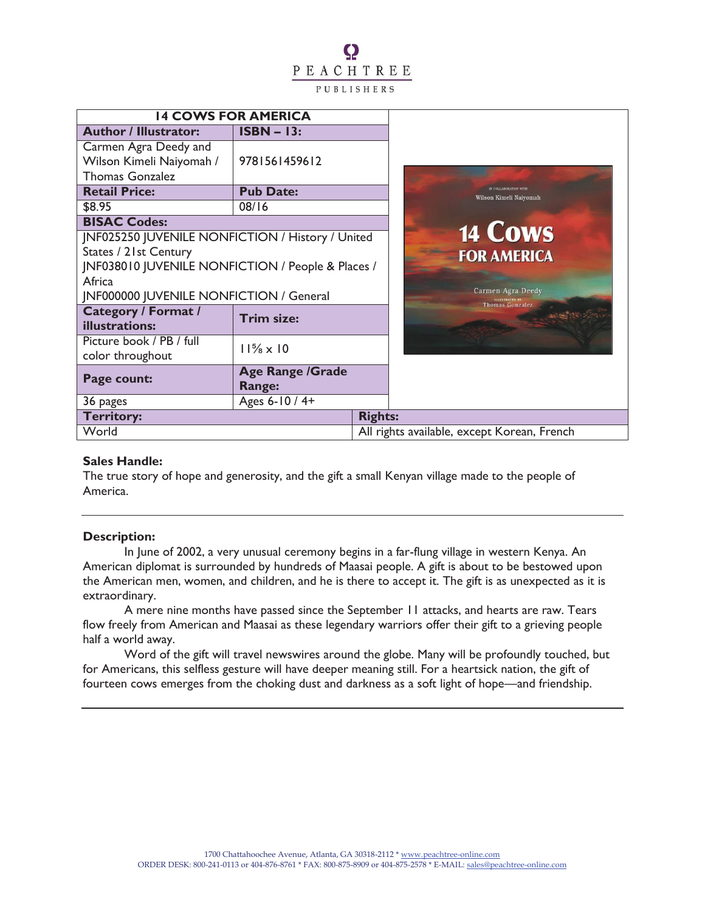# Q PEACHTREE PUBLISHERS

| <b>14 COWS FOR AMERICA</b>                                   |                                   |                |                                             |
|--------------------------------------------------------------|-----------------------------------|----------------|---------------------------------------------|
| <b>Author / Illustrator:</b>                                 | $ISBN - 13:$                      |                |                                             |
| Carmen Agra Deedy and                                        |                                   |                |                                             |
| Wilson Kimeli Naiyomah /                                     | 9781561459612                     |                |                                             |
| <b>Thomas Gonzalez</b>                                       |                                   |                |                                             |
| <b>Retail Price:</b>                                         | <b>Pub Date:</b>                  |                |                                             |
| \$8.95                                                       | 08/16                             |                |                                             |
| <b>BISAC Codes:</b>                                          |                                   |                |                                             |
| JNF025250 JUVENILE NONFICTION / History / United             |                                   |                |                                             |
| <b>States / 21st Century</b>                                 |                                   |                |                                             |
| <b>INF038010 JUVENILE NONFICTION / People &amp; Places /</b> |                                   |                |                                             |
| Africa                                                       |                                   |                |                                             |
| JNF000000 JUVENILE NONFICTION / General                      |                                   |                |                                             |
| <b>Category / Format /</b>                                   | <b>Trim size:</b>                 |                |                                             |
| illustrations:                                               |                                   |                |                                             |
| Picture book / PB / full                                     | $11\frac{5}{8} \times 10$         |                |                                             |
| color throughout                                             |                                   |                |                                             |
| Page count:                                                  | <b>Age Range /Grade</b><br>Range: |                |                                             |
| 36 pages                                                     | Ages 6-10 / 4+                    |                |                                             |
| <b>Territory:</b>                                            |                                   | <b>Rights:</b> |                                             |
| World                                                        |                                   |                | All rights available, except Korean, French |

#### **Sales Handle:**

The true story of hope and generosity, and the gift a small Kenyan village made to the people of America.

#### **Description:**

In June of 2002, a very unusual ceremony begins in a far-flung village in western Kenya. An American diplomat is surrounded by hundreds of Maasai people. A gift is about to be bestowed upon the American men, women, and children, and he is there to accept it. The gift is as unexpected as it is extraordinary.

A mere nine months have passed since the September 11 attacks, and hearts are raw. Tears flow freely from American and Maasai as these legendary warriors offer their gift to a grieving people half a world away.

Word of the gift will travel newswires around the globe. Many will be profoundly touched, but for Americans, this selfless gesture will have deeper meaning still. For a heartsick nation, the gift of fourteen cows emerges from the choking dust and darkness as a soft light of hope—and friendship.